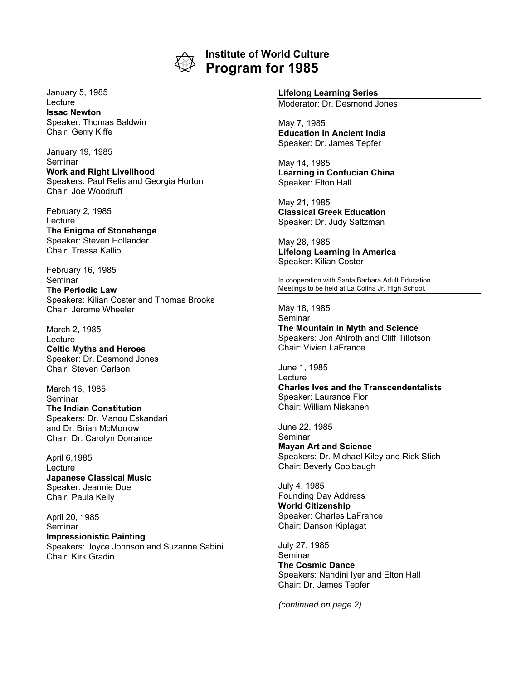

## **Institute of World Culture Program for 1985**

January 5, 1985 **Lecture Issac Newton** Speaker: Thomas Baldwin Chair: Gerry Kiffe

January 19, 1985 Seminar **Work and Right Livelihood** Speakers: Paul Relis and Georgia Horton Chair: Joe Woodruff

February 2, 1985 Lecture **The Enigma of Stonehenge** Speaker: Steven Hollander Chair: Tressa Kallio

February 16, 1985 Seminar **The Periodic Law** Speakers: Kilian Coster and Thomas Brooks Chair: Jerome Wheeler

March 2, 1985 Lecture **Celtic Myths and Heroes** Speaker: Dr. Desmond Jones Chair: Steven Carlson

March 16, 1985 Seminar **The Indian Constitution** Speakers: Dr. Manou Eskandari and Dr. Brian McMorrow Chair: Dr. Carolyn Dorrance

April 6,1985 **Lecture Japanese Classical Music** Speaker: Jeannie Doe Chair: Paula Kelly

April 20, 1985 Seminar **Impressionistic Painting** Speakers: Joyce Johnson and Suzanne Sabini Chair: Kirk Gradin

## **Lifelong Learning Series**

Moderator: Dr. Desmond Jones

May 7, 1985 **Education in Ancient India** Speaker: Dr. James Tepfer

May 14, 1985 **Learning in Confucian China** Speaker: Elton Hall

May 21, 1985 **Classical Greek Education** Speaker: Dr. Judy Saltzman

May 28, 1985 **Lifelong Learning in America** Speaker: Kilian Coster

In cooperation with Santa Barbara Adult Education. Meetings to be held at La Colina Jr. High School.

May 18, 1985 **Seminar** 

**The Mountain in Myth and Science** Speakers: Jon Ahlroth and Cliff Tillotson Chair: Vivien LaFrance

June 1, 1985 **Lecture Charles Ives and the Transcendentalists** Speaker: Laurance Flor Chair: William Niskanen

June 22, 1985 Seminar **Mayan Art and Science** Speakers: Dr. Michael Kiley and Rick Stich Chair: Beverly Coolbaugh

July 4, 1985 Founding Day Address **World Citizenship** Speaker: Charles LaFrance Chair: Danson Kiplagat

July 27, 1985 Seminar **The Cosmic Dance** Speakers: Nandini Iyer and Elton Hall Chair: Dr. James Tepfer

*(continued on page 2)*